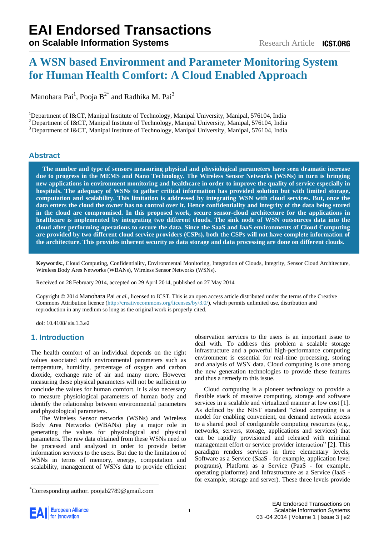# **A WSN based Environment and Parameter Monitoring System for Human Health Comfort: A Cloud Enabled Approach**

Manohara Pai $^1$ , Pooja B $^{2^\ast}$  and Radhika M. Pai $^3$ 

<sup>1</sup>Department of I&CT, Manipal Institute of Technology, Manipal University, Manipal, 576104, India

<sup>2</sup> Department of I&CT, Manipal Institute of Technology, Manipal University, Manipal, 576104, India <sup>3</sup> Department of I&CT, Manipal Institute of Technology, Manipal University, Manipal, 576104, India

# **Abstract**

**The number and type of sensors measuring physical and physiological parameters have seen dramatic increase due to progress in the MEMS and Nano Technology. The Wireless Sensor Networks (WSNs) in turn is bringing new applications in environment monitoring and healthcare in order to improve the quality of service especially in hospitals. The adequacy of WSNs to gather critical information has provided solution but with limited storage, computation and scalability. This limitation is addressed by integrating WSN with cloud services. But, once the data enters the cloud the owner has no control over it. Hence confidentiality and integrity of the data being stored in the cloud are compromised. In this proposed work, secure sensor-cloud architecture for the applications in healthcare is implemented by integrating two different clouds. The sink node of WSN outsources data into the cloud after performing operations to secure the data. Since the SaaS and IaaS environments of Cloud Computing are provided by two different cloud service providers (CSPs), both the CSPs will not have complete information of the architecture. This provides inherent security as data storage and data processing are done on different clouds.** 

**Keywords:**, Cloud Computing, Confidentiality, Environmental Monitoring, Integration of Clouds, Integrity, Sensor Cloud Architecture, Wireless Body Ares Networks (WBANs), Wireless Sensor Networks (WSNs).

Received on 28 February 2014, accepted on 29 April 2014, published on 27 May 2014

Copyright © 2014 Manohara Pai *et al.*, licensed to ICST. This is an open access article distributed under the terms of the Creative Commons Attribution licence [\(http://creativecommons.org/licenses/by/3.0/\)](http://creativecommons.org/licenses/by/3.0/), which permits unlimited use, distribution and reproduction in any medium so long as the original work is properly cited.

doi: 10.4108/ sis.1.3.e2

## **1. Introduction**

The health comfort of an individual depends on the right values associated with environmental parameters such as temperature, humidity, percentage of oxygen and carbon dioxide, exchange rate of air and many more. However measuring these physical parameters will not be sufficient to conclude the values for human comfort. It is also necessary to measure physiological parameters of human body and identify the relationship between environmental parameters and physiological parameters.

The Wireless Sensor networks (WSNs) and Wireless Body Area Networks (WBANs) play a major role in generating the values for physiological and physical parameters**.** The raw data obtained from these WSNs need to be processed and analyzed in order to provide better information services to the users. But due to the limitation of WSNs in terms of memory, energy, computation and scalability, management of WSNs data to provide efficient observation services to the users is an important issue to deal with. To address this problem a scalable storage infrastructure and a powerful high-performance computing environment is essential for real-time processing, storing and analysis of WSN data. Cloud computing is one among the new generation technologies to provide these features and thus a remedy to this issue.

Cloud computing is a pioneer technology to provide a flexible stack of massive computing, storage and software services in a scalable and virtualized manner at low cost [1]. As defined by the NIST standard "cloud computing is a model for enabling convenient, on demand network access to a shared pool of configurable computing resources (e.g., networks, servers, storage, applications and services) that can be rapidly provisioned and released with minimal management effort or service provider interaction" [2]. This paradigm renders services in three elementary levels; Software as a Service (SaaS - for example, application level programs), Platform as a Service (PaaS - for example, operating platforms) and Infrastructure as a Service (IaaS for example, storage and server). These three levels provide

<sup>\*</sup>Corresponding author. poojab2789@gmail.com \_\_\_\_\_\_\_\_\_\_\_\_\_\_\_\_\_\_\_\_\_\_\_\_\_\_\_\_\_\_\_\_\_\_\_\_\_\_\_\_\_\_\_\_\_\_\_\_\_\_

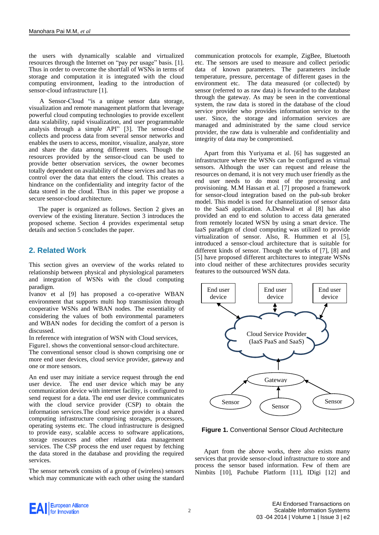the users with dynamically scalable and virtualized resources through the Internet on "pay per usage" basis. [1]. Thus in order to overcome the shortfall of WSNs in terms of storage and computation it is integrated with the cloud computing environment, leading to the introduction of sensor-cloud infrastructure [1].

A Sensor-Cloud "is a unique sensor data storage, visualization and remote management platform that leverage powerful cloud computing technologies to provide excellent data scalability, rapid visualization, and user programmable analysis through a simple API" [3]. The sensor-cloud collects and process data from several sensor networks and enables the users to access, monitor, visualize, analyze, store and share the data among different users. Though the resources provided by the sensor-cloud can be used to provide better observation services, the owner becomes totally dependent on availability of these services and has no control over the data that enters the cloud. This creates a hindrance on the confidentiality and integrity factor of the data stored in the cloud. Thus in this paper we propose a secure sensor-cloud architecture.

The paper is organized as follows. Section 2 gives an overview of the existing literature. Section 3 introduces the proposed scheme. Section 4 provides experimental setup details and section 5 concludes the paper.

# **2. Related Work**

This section gives an overview of the works related to relationship between physical and physiological parameters and integration of WSNs with the cloud computing paradigm.

Ivanov et al [9] has proposed a co-operative WBAN environment that supports multi hop transmission through cooperative WSNs and WBAN nodes. The essentiality of considering the values of both environmental parameters and WBAN nodes for deciding the comfort of a person is discussed.

In reference with integration of WSN with Cloud services,

Figure1. shows the conventional sensor-cloud architecture.

The conventional sensor cloud is shown comprising one or more end user devices, cloud service provider, gateway and one or more sensors.

An end user may initiate a service request through the end user device. The end user device which may be any communication device with internet facility, is configured to send request for a data. The end user device communicates with the cloud service provider (CSP) to obtain the information services.The cloud service provider is a shared computing infrastructure comprising storages, processors, operating systems etc. The cloud infrastructure is designed to provide easy, scalable access to software applications, storage resources and other related data management services. The CSP process the end user request by fetching the data stored in the database and providing the required services.

The sensor network consists of a group of (wireless) sensors which may communicate with each other using the standard

communication protocols for example, ZigBee, Bluetooth etc. The sensors are used to measure and collect periodic data of known parameters. The parameters include temperature, pressure, percentage of different gases in the environment etc. The data measured (or collected) by sensor (referred to as raw data) is forwarded to the database through the gateway. As may be seen in the conventional system, the raw data is stored in the database of the cloud service provider who provides information service to the user. Since, the storage and information services are managed and administrated by the same cloud service provider, the raw data is vulnerable and confidentiality and integrity of data may be compromised.

Apart from this Yuriyama et al. [6] has suggested an infrastructure where the WSNs can be configured as virtual sensors. Although the user can request and release the resources on demand, it is not very much user friendly as the end user needs to do most of the processing and provisioning. M.M Hassan et al. [7] proposed a framework for sensor-cloud integration based on the pub-sub broker model. This model is used for channelization of sensor data to the SaaS application. A.Deshwal et al [8] has also provided an end to end solution to access data generated from remotely located WSN by using a smart device. The IaaS paradigm of cloud computing was utilized to provide virtualization of sensor. Also, R. Hummen et al [5], introduced a sensor-cloud architecture that is suitable for different kinds of sensor. Though the works of [7], [8] and [5] have proposed different architectures to integrate WSNs into cloud neither of these architectures provides security features to the outsourced WSN data.



**Figure 1.** Conventional Sensor Cloud Architecture

Apart from the above works, there also exists many services that provide sensor-cloud infrastructure to store and process the sensor based information. Few of them are Nimbits [10], Pachube Platform [11], IDigi [12] and

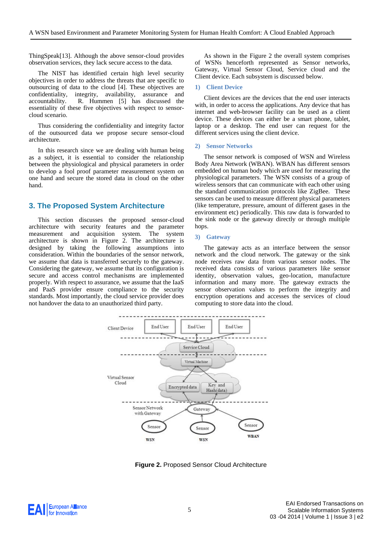ThingSpeak[13]. Although the above sensor-cloud provides observation services, they lack secure access to the data.

The NIST has identified certain high level security objectives in order to address the threats that are specific to outsourcing of data to the cloud [4]. These objectives are confidentiality, integrity, availability, assurance and accountability. R. Hummen [5] has discussed the essentiality of these five objectives with respect to sensorcloud scenario.

Thus considering the confidentiality and integrity factor of the outsourced data we propose secure sensor-cloud architecture.

In this research since we are dealing with human being as a subject, it is essential to consider the relationship between the physiological and physical parameters in order to develop a fool proof parameter measurement system on one hand and secure the stored data in cloud on the other hand.

# **3. The Proposed System Architecture**

This section discusses the proposed sensor-cloud architecture with security features and the parameter measurement and acquisition system. The system architecture is shown in Figure 2. The architecture is designed by taking the following assumptions into consideration. Within the boundaries of the sensor network, we assume that data is transferred securely to the gateway. Considering the gateway, we assume that its configuration is secure and access control mechanisms are implemented properly. With respect to assurance, we assume that the IaaS and PaaS provider ensure compliance to the security standards. Most importantly, the cloud service provider does not handover the data to an unauthorized third party.

As shown in the Figure 2 the overall system comprises of WSNs henceforth represented as Sensor networks, Gateway, Virtual Sensor Cloud, Service cloud and the Client device. Each subsystem is discussed below.

#### **1) Client Device**

Client devices are the devices that the end user interacts with, in order to access the applications. Any device that has internet and web-browser facility can be used as a client device. These devices can either be a smart phone, tablet, laptop or a desktop. The end user can request for the different services using the client device.

#### **2) Sensor Networks**

The sensor network is composed of WSN and Wireless Body Area Network (WBAN). WBAN has different sensors embedded on human body which are used for measuring the physiological parameters. The WSN consists of a group of wireless sensors that can communicate with each other using the standard communication protocols like ZigBee. These sensors can be used to measure different physical parameters (like temperature, pressure, amount of different gases in the environment etc) periodically. This raw data is forwarded to the sink node or the gateway directly or through multiple hops.

#### **3) Gateway**

The gateway acts as an interface between the sensor network and the cloud network. The gateway or the sink node receives raw data from various sensor nodes. The received data consists of various parameters like sensor identity, observation values, geo-location, manufacture information and many more. The gateway extracts the sensor observation values to perform the integrity and encryption operations and accesses the services of cloud computing to store data into the cloud.



**Figure 2.** Proposed Sensor Cloud Architecture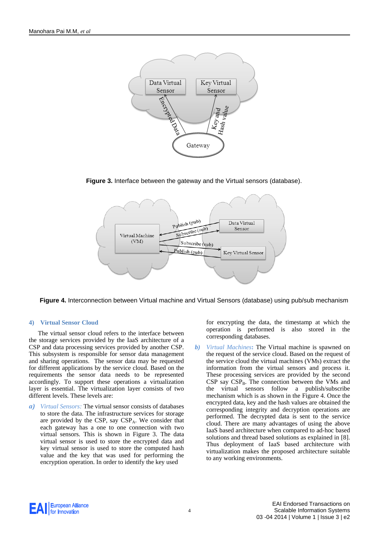





**Figure 4.** Interconnection between Virtual machine and Virtual Sensors (database) using pub/sub mechanism

## **4) Virtual Sensor Cloud**

The virtual sensor cloud refers to the interface between the storage services provided by the IaaS architecture of a CSP and data processing services provided by another CSP. This subsystem is responsible for sensor data management and sharing operations. The sensor data may be requested for different applications by the service cloud. Based on the requirements the sensor data needs to be represented accordingly. To support these operations a virtualization layer is essential. The virtualization layer consists of two different levels. These levels are:

*a) Virtual Sensors:* The virtual sensor consists of databases to store the data. The infrastructure services for storage are provided by the CSP, say  $CSP<sub>A</sub>$ . We consider that each gateway has a one to one connection with two virtual sensors. This is shown in Figure 3. The data virtual sensor is used to store the encrypted data and key virtual sensor is used to store the computed hash value and the key that was used for performing the encryption operation. In order to identify the key used

for encrypting the data, the timestamp at which the operation is performed is also stored in the corresponding databases.

*b) Virtual Machines***:** The Virtual machine is spawned on the request of the service cloud. Based on the request of the service cloud the virtual machines (VMs) extract the information from the virtual sensors and process it. These processing services are provided by the second  $CSP$  say  $CSP<sub>B</sub>$ . The connection between the VMs and the virtual sensors follow a publish/subscribe mechanism which is as shown in the Figure 4. Once the encrypted data, key and the hash values are obtained the corresponding integrity and decryption operations are performed. The decrypted data is sent to the service cloud. There are many advantages of using the above IaaS based architecture when compared to ad-hoc based solutions and thread based solutions as explained in [8]. Thus deployment of IaaS based architecture with virtualization makes the proposed architecture suitable to any working environments.

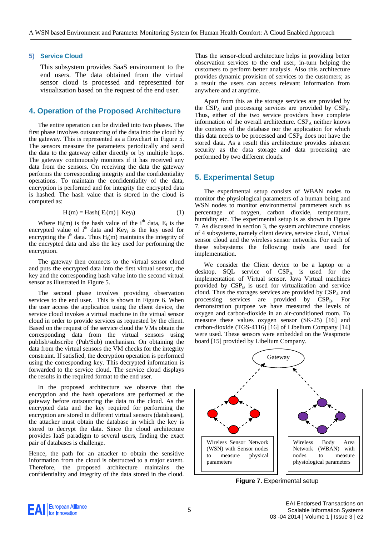### **5) Service Cloud**

This subsystem provides SaaS environment to the end users. The data obtained from the virtual sensor cloud is processed and represented for visualization based on the request of the end user.

## **4. Operation of the Proposed Architecture**

The entire operation can be divided into two phases. The first phase involves outsourcing of the data into the cloud by the gateway. This is represented as a flowchart in Figure 5. The sensors measure the parameters periodically and send the data to the gateway either directly or by multiple hops. The gateway continuously monitors if it has received any data from the sensors. On receiving the data the gateway performs the corresponding integrity and the confidentiality operations. To maintain the confidentiality of the data, encryption is performed and for integrity the encrypted data is hashed. The hash value that is stored in the cloud is computed as:

$$
H_i(m) = Hash(E_i(m) || Key_i)
$$
 (1)

Where  $H_i(m)$  is the hash value of the i<sup>th</sup> data,  $E_i$  is the encrypted value of  $i<sup>th</sup>$  data and Key<sub>i</sub> is the key used for encrypting the i<sup>th</sup> data. Thus  $H_i(m)$  maintains the integrity of the encrypted data and also the key used for performing the encryption.

The gateway then connects to the virtual sensor cloud and puts the encrypted data into the first virtual sensor, the key and the corresponding hash value into the second virtual sensor as illustrated in Figure 5.

The second phase involves providing observation services to the end user. This is shown in Figure 6. When the user access the application using the client device, the service cloud invokes a virtual machine in the virtual sensor cloud in order to provide services as requested by the client. Based on the request of the service cloud the VMs obtain the corresponding data from the virtual sensors using publish/subscribe (Pub/Sub) mechanism. On obtaining the data from the virtual sensors the VM checks for the integrity constraint. If satisfied, the decryption operation is performed using the corresponding key. This decrypted information is forwarded to the service cloud. The service cloud displays the results in the required format to the end user.

In the proposed architecture we observe that the encryption and the hash operations are performed at the gateway before outsourcing the data to the cloud. As the encrypted data and the key required for performing the encryption are stored in different virtual sensors (databases), the attacker must obtain the database in which the key is stored to decrypt the data. Since the cloud architecture provides IaaS paradigm to several users, finding the exact pair of databases is challenge.

Hence, the path for an attacker to obtain the sensitive information from the cloud is obstructed to a major extent. Therefore, the proposed architecture maintains the confidentiality and integrity of the data stored in the cloud.

Thus the sensor-cloud architecture helps in providing better observation services to the end user, in-turn helping the customers to perform better analysis. Also this architecture provides dynamic provision of services to the customers; as a result the users can access relevant information from anywhere and at anytime.

Apart from this as the storage services are provided by the  $CSP<sub>A</sub>$  and processing services are provided by  $CSP<sub>B</sub>$ . Thus, either of the two service providers have complete information of the overall architecture.  $CSP<sub>A</sub>$  neither knows the contents of the database nor the application for which this data needs to be processed and  $\widehat{\text{CSP}}_B$  does not have the stored data. As a result this architecture provides inherent security as the data storage and data processing are performed by two different clouds.

## **5. Experimental Setup**

The experimental setup consists of WBAN nodes to monitor the physiological parameters of a human being and WSN nodes to monitor environmental parameters such as percentage of oxygen, carbon dioxide, temperature, humidity etc. The experimental setup is as shown in Figure 7. As discussed in section 3, the system architecture consists of 4 subsystems, namely client device, service cloud, Virtual sensor cloud and the wireless sensor networks. For each of these subsystems the following tools are used for implementation.

We consider the Client device to be a laptop or a desktop. SQL service of CSP<sup>A</sup> is used for the implementation of Virtual sensor. Java Virtual machines provided by  $CSP_B$  is used for virtualization and service cloud. Thus the storages services are provided by  $CSP<sub>A</sub>$  and processing services are provided by CSP<sub>B</sub>. For demonstration purpose we have measured the levels of oxygen and carbon-dioxide in an air-conditioned room. To measure these values oxygen sensor (SK-25) [16] and carbon-dioxide (TGS-4116) [16] of Libelium Company [14] were used. These sensors were embedded on the Waspmote board [15] provided by Libelium Company.



**Figure 7.** Experimental setup

**All** European Alliance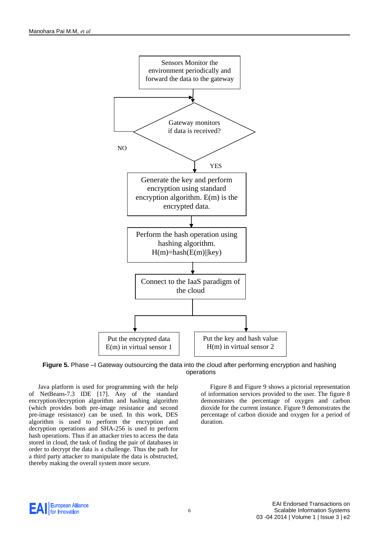



Java platform is used for programming with the help of NetBeans-7.3 IDE [17]. Any of the standard encryption/decryption algorithm and hashing algorithm (which provides both pre-image resistance and second pre-image resistance) can be used. In this work, DES algorithm is used to perform the encryption and decryption operations and SHA-256 is used to perform hash operations. Thus if an attacker tries to access the data stored in cloud, the task of finding the pair of databases in order to decrypt the data is a challenge. Thus the path for a third party attacker to manipulate the data is obstructed, thereby making the overall system more secure.

Figure 8 and Figure 9 shows a pictorial representation of information services provided to the user. The figure 8 demonstrates the percentage of oxygen and carbon dioxide for the current instance. Figure 9 demonstrates the percentage of carbon dioxide and oxygen for a period of duration.

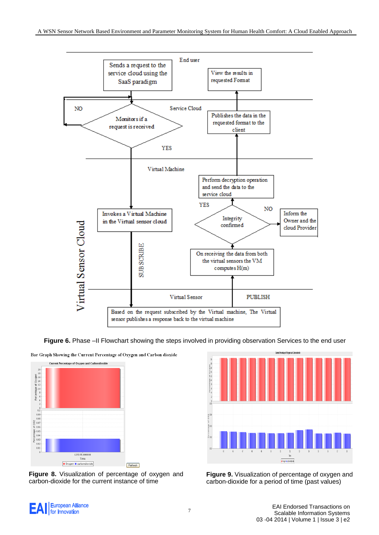

**Figure 6.** Phase –II Flowchart showing the steps involved in providing observation Services to the end user

Bar Graph Showing the Current Percentage of Oxygen and Carbon dioxide



**Figure 8.** Visualization of percentage of oxygen and carbon-dioxide for the current instance of time



**Figure 9.** Visualization of percentage of oxygen and carbon-dioxide for a period of time (past values)